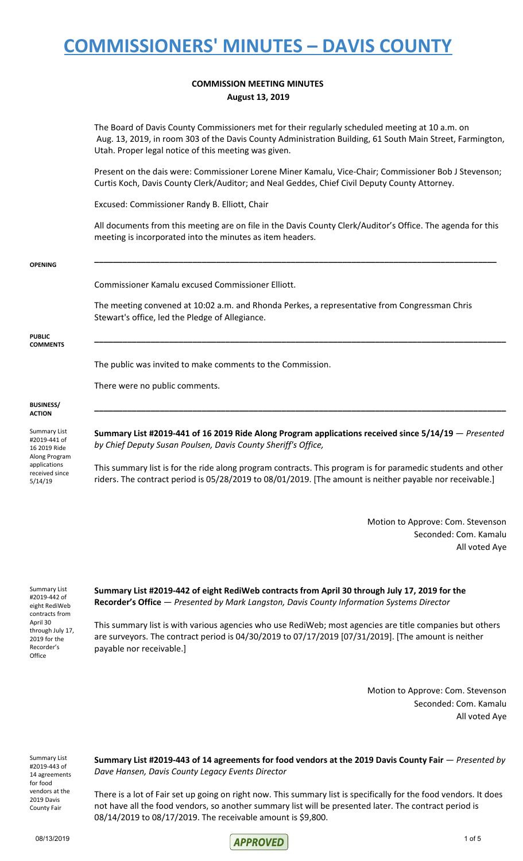#### **COMMISSION MEETING MINUTES August 13, 2019**

The Board of Davis County Commissioners met for their regularly scheduled meeting at 10 a.m. on Aug. 13, 2019, in room 303 of the Davis County Administration Building, 61 South Main Street, Farmington, Utah. Proper legal notice of this meeting was given.

Present on the dais were: Commissioner Lorene Miner Kamalu, Vice-Chair; Commissioner Bob J Stevenson; Curtis Koch, Davis County Clerk/Auditor; and Neal Geddes, Chief Civil Deputy County Attorney.

Excused: Commissioner Randy B. Elliott, Chair

All documents from this meeting are on file in the Davis County Clerk/Auditor's Office. The agenda for this meeting is incorporated into the minutes as item headers.

**\_\_\_\_\_\_\_\_\_\_\_\_\_\_\_\_\_\_\_\_\_\_\_\_\_\_\_\_\_\_\_\_\_\_\_\_\_\_\_\_\_\_\_\_\_\_\_\_\_\_\_\_\_\_\_\_\_\_\_\_\_\_\_\_\_\_\_\_\_\_\_\_\_\_\_\_\_\_\_\_\_\_\_\_\_\_**

**\_\_\_\_\_\_\_\_\_\_\_\_\_\_\_\_\_\_\_\_\_\_\_\_\_\_\_\_\_\_\_\_\_\_\_\_\_\_\_\_\_\_\_\_\_\_\_\_\_\_\_\_\_\_\_\_\_\_\_\_\_\_\_\_\_\_\_\_\_\_\_\_\_\_\_\_\_\_\_\_\_\_\_\_\_\_\_\_**

#### **OPENING**

#### Commissioner Kamalu excused Commissioner Elliott.

The meeting convened at 10:02 a.m. and Rhonda Perkes, a representative from Congressman Chris Stewart's office, led the Pledge of Allegiance.

**PUBLIC COMMENTS**

The public was invited to make comments to the Commission.

There were no public comments.

#### **BUSINESS/ ACTION**

Summary List #2019-441 of 16 2019 Ride Along Program applications received since 5/14/19

**Summary List #2019-441 of 16 2019 Ride Along Program applications received since 5/14/19** — *Presented by Chief Deputy Susan Poulsen, Davis County Sheriff's Office,*

**\_\_\_\_\_\_\_\_\_\_\_\_\_\_\_\_\_\_\_\_\_\_\_\_\_\_\_\_\_\_\_\_\_\_\_\_\_\_\_\_\_\_\_\_\_\_\_\_\_\_\_\_\_\_\_\_\_\_\_\_\_\_\_\_\_\_\_\_\_\_\_\_\_\_\_\_\_\_\_\_\_\_\_\_\_\_\_\_**

This summary list is for the ride along program contracts. This program is for paramedic students and other riders. The contract period is 05/28/2019 to 08/01/2019. [The amount is neither payable nor receivable.]

> Motion to Approve: Com. Stevenson Seconded: Com. Kamalu All voted Aye

Summary List #2019-442 of eight RediWeb contracts from April 30 through July 17, 2019 for the Recorder's **Office** 

**Summary List #2019-442 of eight RediWeb contracts from April 30 through July 17, 2019 for the Recorder's Office** — *Presented by Mark Langston, Davis County Information Systems Director*

This summary list is with various agencies who use RediWeb; most agencies are title companies but others are surveyors. The contract period is 04/30/2019 to 07/17/2019 [07/31/2019]. [The amount is neither payable nor receivable.]

> Motion to Approve: Com. Stevenson Seconded: Com. Kamalu All voted Aye

Summary List #2019-443 of 14 agreements for food vendors at the 2019 Davis County Fair

**Summary List #2019-443 of 14 agreements for food vendors at the 2019 Davis County Fair** — *Presented by Dave Hansen, Davis County Legacy Events Director*

There is a lot of Fair set up going on right now. This summary list is specifically for the food vendors. It does not have all the food vendors, so another summary list will be presented later. The contract period is 08/14/2019 to 08/17/2019. The receivable amount is \$9,800.

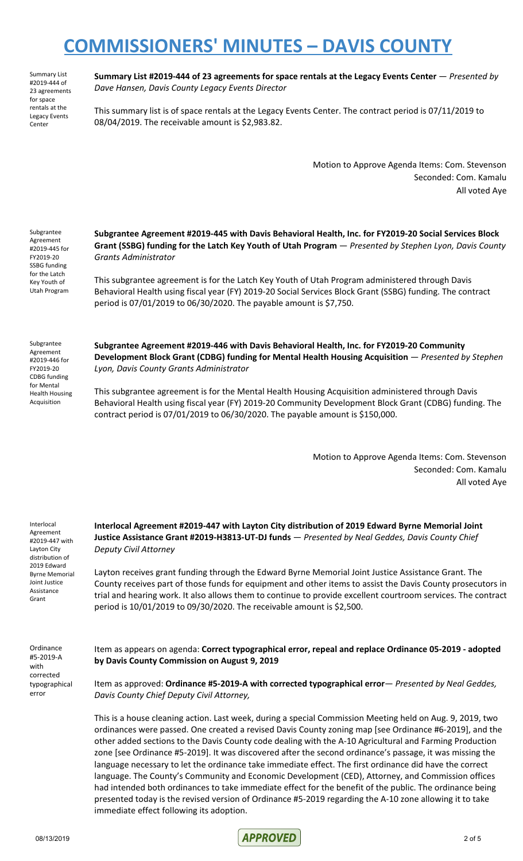Summary List #2019-444 of 23 agreements for space rentals at the Legacy Events Center

**Summary List #2019-444 of 23 agreements for space rentals at the Legacy Events Center** — *Presented by Dave Hansen, Davis County Legacy Events Director*

This summary list is of space rentals at the Legacy Events Center. The contract period is 07/11/2019 to 08/04/2019. The receivable amount is \$2,983.82.

> Motion to Approve Agenda Items: Com. Stevenson Seconded: Com. Kamalu All voted Aye

Subgrantee Agreement #2019-445 for FY2019-20 SSBG funding for the Latch Key Youth of Utah Program

**Subgrantee Agreement #2019-445 with Davis Behavioral Health, Inc. for FY2019-20 Social Services Block Grant (SSBG) funding for the Latch Key Youth of Utah Program** — *Presented by Stephen Lyon, Davis County Grants Administrator*

This subgrantee agreement is for the Latch Key Youth of Utah Program administered through Davis Behavioral Health using fiscal year (FY) 2019-20 Social Services Block Grant (SSBG) funding. The contract period is 07/01/2019 to 06/30/2020. The payable amount is \$7,750.

Subgrantee Agreement #2019-446 for FY2019-20 CDBG funding for Mental Health Housing Acquisition

**Subgrantee Agreement #2019-446 with Davis Behavioral Health, Inc. for FY2019-20 Community Development Block Grant (CDBG) funding for Mental Health Housing Acquisition** — *Presented by Stephen Lyon, Davis County Grants Administrator*

This subgrantee agreement is for the Mental Health Housing Acquisition administered through Davis Behavioral Health using fiscal year (FY) 2019-20 Community Development Block Grant (CDBG) funding. The contract period is 07/01/2019 to 06/30/2020. The payable amount is \$150,000.

> Motion to Approve Agenda Items: Com. Stevenson Seconded: Com. Kamalu All voted Aye

Interlocal Agreement #2019-447 with Layton City distribution of 2019 Edward Byrne Memorial Joint Justice Assistance Grant

**Interlocal Agreement #2019-447 with Layton City distribution of 2019 Edward Byrne Memorial Joint Justice Assistance Grant #2019-H3813-UT-DJ funds** — *Presented by Neal Geddes, Davis County Chief Deputy Civil Attorney*

Layton receives grant funding through the Edward Byrne Memorial Joint Justice Assistance Grant. The County receives part of those funds for equipment and other items to assist the Davis County prosecutors in trial and hearing work. It also allows them to continue to provide excellent courtroom services. The contract period is 10/01/2019 to 09/30/2020. The receivable amount is \$2,500.

Ordinance #5-2019-A with corrected typographical error

Item as appears on agenda: **Correct typographical error, repeal and replace Ordinance 05-2019 - adopted by Davis County Commission on August 9, 2019**

Item as approved: **Ordinance #5-2019-A with corrected typographical error**— *Presented by Neal Geddes, Davis County Chief Deputy Civil Attorney,*

This is a house cleaning action. Last week, during a special Commission Meeting held on Aug. 9, 2019, two ordinances were passed. One created a revised Davis County zoning map [see Ordinance #6-2019], and the other added sections to the Davis County code dealing with the A-10 Agricultural and Farming Production zone [see Ordinance #5-2019]. It was discovered after the second ordinance's passage, it was missing the language necessary to let the ordinance take immediate effect. The first ordinance did have the correct language. The County's Community and Economic Development (CED), Attorney, and Commission offices had intended both ordinances to take immediate effect for the benefit of the public. The ordinance being presented today is the revised version of Ordinance #5-2019 regarding the A-10 zone allowing it to take immediate effect following its adoption.

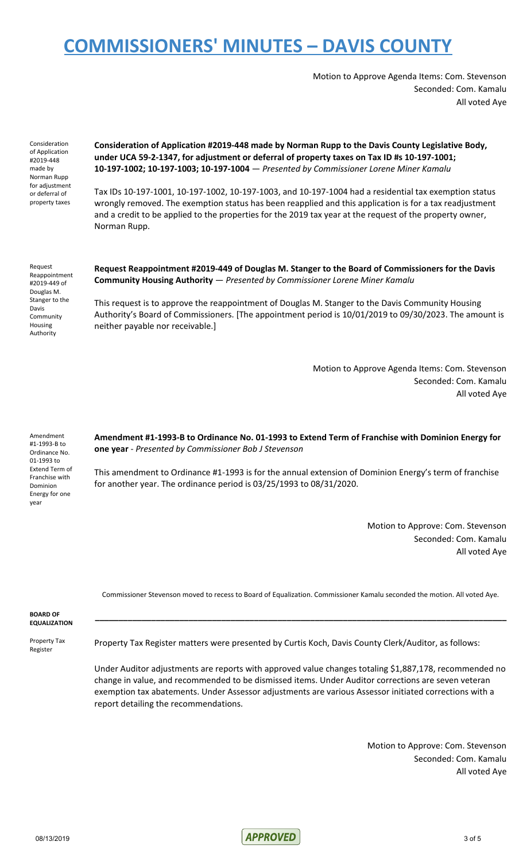Motion to Approve Agenda Items: Com. Stevenson Seconded: Com. Kamalu All voted Aye

Consideration of Application #2019-448 made by Norman Rupp for adjustment or deferral of property taxes

**Consideration of Application #2019-448 made by Norman Rupp to the Davis County Legislative Body, under UCA 59-2-1347, for adjustment or deferral of property taxes on Tax ID #s 10-197-1001; 10-197-1002; 10-197-1003; 10-197-1004** — *Presented by Commissioner Lorene Miner Kamalu*

Tax IDs 10-197-1001, 10-197-1002, 10-197-1003, and 10-197-1004 had a residential tax exemption status wrongly removed. The exemption status has been reapplied and this application is for a tax readjustment and a credit to be applied to the properties for the 2019 tax year at the request of the property owner, Norman Rupp.

Request Reappointment #2019-449 of Douglas M. Stanger to the Davis Community Housing Authority

**Request Reappointment #2019-449 of Douglas M. Stanger to the Board of Commissioners for the Davis Community Housing Authority** — *Presented by Commissioner Lorene Miner Kamalu*

This request is to approve the reappointment of Douglas M. Stanger to the Davis Community Housing Authority's Board of Commissioners. [The appointment period is 10/01/2019 to 09/30/2023. The amount is neither payable nor receivable.]

> Motion to Approve Agenda Items: Com. Stevenson Seconded: Com. Kamalu All voted Aye

Amendment #1-1993-B to Ordinance No. 01-1993 to Extend Term of Franchise with Dominion Energy for one year

**Amendment #1-1993-B to Ordinance No. 01-1993 to Extend Term of Franchise with Dominion Energy for one year** - *Presented by Commissioner Bob J Stevenson*

This amendment to Ordinance #1-1993 is for the annual extension of Dominion Energy's term of franchise for another year. The ordinance period is 03/25/1993 to 08/31/2020.

> Motion to Approve: Com. Stevenson Seconded: Com. Kamalu All voted Aye

Commissioner Stevenson moved to recess to Board of Equalization. Commissioner Kamalu seconded the motion. All voted Aye.

**\_\_\_\_\_\_\_\_\_\_\_\_\_\_\_\_\_\_\_\_\_\_\_\_\_\_\_\_\_\_\_\_\_\_\_\_\_\_\_\_\_\_\_\_\_\_\_\_\_\_\_\_\_\_\_\_\_\_\_\_\_\_\_\_\_\_\_\_\_\_\_\_\_\_\_\_\_\_\_\_\_\_\_\_\_\_\_\_**

**BOARD OF EQUALIZATION**

Property Tax Register

Property Tax Register matters were presented by Curtis Koch, Davis County Clerk/Auditor, as follows:

Under Auditor adjustments are reports with approved value changes totaling \$1,887,178, recommended no change in value, and recommended to be dismissed items. Under Auditor corrections are seven veteran exemption tax abatements. Under Assessor adjustments are various Assessor initiated corrections with a report detailing the recommendations.

> Motion to Approve: Com. Stevenson Seconded: Com. Kamalu All voted Aye

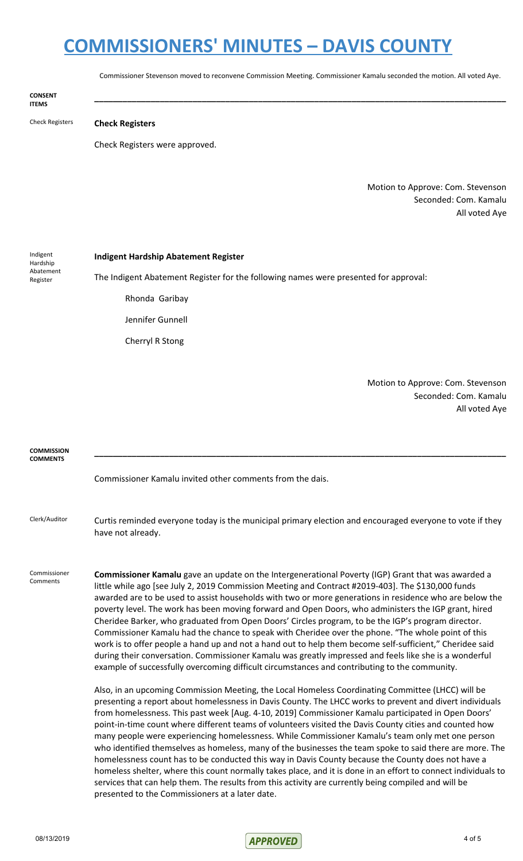Commissioner Stevenson moved to reconvene Commission Meeting. Commissioner Kamalu seconded the motion. All voted Aye.

**\_\_\_\_\_\_\_\_\_\_\_\_\_\_\_\_\_\_\_\_\_\_\_\_\_\_\_\_\_\_\_\_\_\_\_\_\_\_\_\_\_\_\_\_\_\_\_\_\_\_\_\_\_\_\_\_\_\_\_\_\_\_\_\_\_\_\_\_\_\_\_\_\_\_\_\_\_\_\_\_\_\_\_\_\_\_\_\_**

**CONSENT ITEMS**

Check Registers **Check Registers**

Check Registers were approved.

Motion to Approve: Com. Stevenson Seconded: Com. Kamalu All voted Aye

Indigent Hardship Abatement Register

#### **Indigent Hardship Abatement Register**

The Indigent Abatement Register for the following names were presented for approval:

Rhonda Garibay

Jennifer Gunnell

Cherryl R Stong

Motion to Approve: Com. Stevenson Seconded: Com. Kamalu All voted Aye

| <b>COMMISSION</b><br><b>COMMENTS</b> |                                                                                                                                                                                                                                                                                                                                                                                                                                                                                                                                                                                                                                                                                                                                                                                                                                                                                                                                                                                                                                                                                                                                                                                                                                                                                                                                                                                                                                                                                                                                                                                                                                                                                                                                                                                                                                                                                                                                                                                                             |
|--------------------------------------|-------------------------------------------------------------------------------------------------------------------------------------------------------------------------------------------------------------------------------------------------------------------------------------------------------------------------------------------------------------------------------------------------------------------------------------------------------------------------------------------------------------------------------------------------------------------------------------------------------------------------------------------------------------------------------------------------------------------------------------------------------------------------------------------------------------------------------------------------------------------------------------------------------------------------------------------------------------------------------------------------------------------------------------------------------------------------------------------------------------------------------------------------------------------------------------------------------------------------------------------------------------------------------------------------------------------------------------------------------------------------------------------------------------------------------------------------------------------------------------------------------------------------------------------------------------------------------------------------------------------------------------------------------------------------------------------------------------------------------------------------------------------------------------------------------------------------------------------------------------------------------------------------------------------------------------------------------------------------------------------------------------|
|                                      | Commissioner Kamalu invited other comments from the dais.                                                                                                                                                                                                                                                                                                                                                                                                                                                                                                                                                                                                                                                                                                                                                                                                                                                                                                                                                                                                                                                                                                                                                                                                                                                                                                                                                                                                                                                                                                                                                                                                                                                                                                                                                                                                                                                                                                                                                   |
| Clerk/Auditor                        | Curtis reminded everyone today is the municipal primary election and encouraged everyone to vote if they<br>have not already.                                                                                                                                                                                                                                                                                                                                                                                                                                                                                                                                                                                                                                                                                                                                                                                                                                                                                                                                                                                                                                                                                                                                                                                                                                                                                                                                                                                                                                                                                                                                                                                                                                                                                                                                                                                                                                                                               |
| Commissioner<br>Comments             | <b>Commissioner Kamalu</b> gave an update on the Intergenerational Poverty (IGP) Grant that was awarded a<br>little while ago [see July 2, 2019 Commission Meeting and Contract #2019-403]. The \$130,000 funds<br>awarded are to be used to assist households with two or more generations in residence who are below the<br>poverty level. The work has been moving forward and Open Doors, who administers the IGP grant, hired<br>Cheridee Barker, who graduated from Open Doors' Circles program, to be the IGP's program director.<br>Commissioner Kamalu had the chance to speak with Cheridee over the phone. "The whole point of this<br>work is to offer people a hand up and not a hand out to help them become self-sufficient," Cheridee said<br>during their conversation. Commissioner Kamalu was greatly impressed and feels like she is a wonderful<br>example of successfully overcoming difficult circumstances and contributing to the community.<br>Also, in an upcoming Commission Meeting, the Local Homeless Coordinating Committee (LHCC) will be<br>presenting a report about homelessness in Davis County. The LHCC works to prevent and divert individuals<br>from homelessness. This past week [Aug. 4-10, 2019] Commissioner Kamalu participated in Open Doors'<br>point-in-time count where different teams of volunteers visited the Davis County cities and counted how<br>many people were experiencing homelessness. While Commissioner Kamalu's team only met one person<br>who identified themselves as homeless, many of the businesses the team spoke to said there are more. The<br>homelessness count has to be conducted this way in Davis County because the County does not have a<br>homeless shelter, where this count normally takes place, and it is done in an effort to connect individuals to<br>services that can help them. The results from this activity are currently being compiled and will be<br>presented to the Commissioners at a later date. |